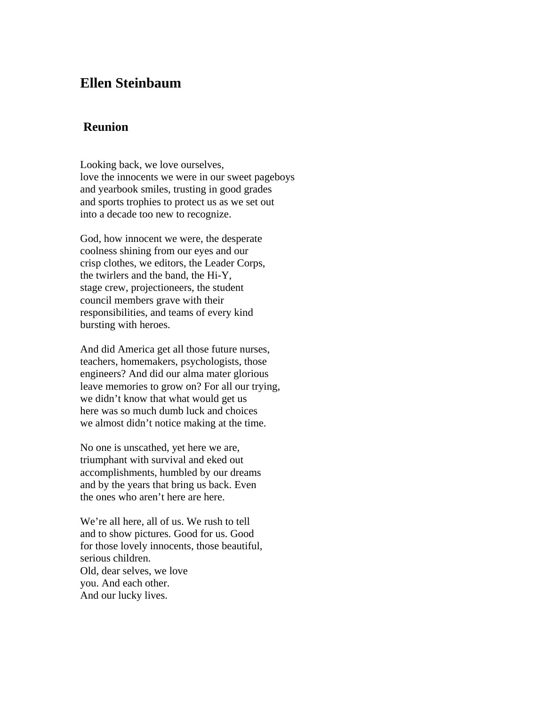## **Ellen Steinbaum**

## **Reunion**

Looking back, we love ourselves, love the innocents we were in our sweet pageboys and yearbook smiles, trusting in good grades and sports trophies to protect us as we set out into a decade too new to recognize.

God, how innocent we were, the desperate coolness shining from our eyes and our crisp clothes, we editors, the Leader Corps, the twirlers and the band, the Hi-Y, stage crew, projectioneers, the student council members grave with their responsibilities, and teams of every kind bursting with heroes.

And did America get all those future nurses, teachers, homemakers, psychologists, those engineers? And did our alma mater glorious leave memories to grow on? For all our trying, we didn't know that what would get us here was so much dumb luck and choices we almost didn't notice making at the time.

No one is unscathed, yet here we are, triumphant with survival and eked out accomplishments, humbled by our dreams and by the years that bring us back. Even the ones who aren't here are here.

We're all here, all of us. We rush to tell and to show pictures. Good for us. Good for those lovely innocents, those beautiful, serious children. Old, dear selves, we love you. And each other. And our lucky lives.